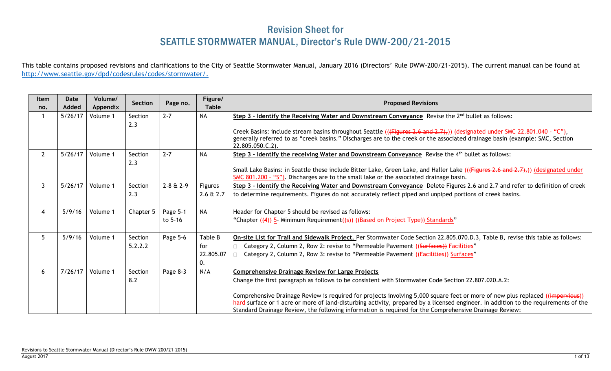## Revision Sheet for SEATTLE STORMWATER MANUAL, Director's Rule DWW-200/21-2015

This table contains proposed revisions and clarifications to the City of Seattle Stormwater Manual, January 2016 (Directors' Rule DWW-200/21-2015). The current manual can be found at [http://www.seattle.gov/dpd/codesrules/codes/stormwater/.](http://www.seattle.gov/dpd/codesrules/codes/stormwater/)

| <b>Item</b><br>no. | Date<br>Added | Volume/<br>Appendix | Section        | Page no.        | Figure/<br><b>Table</b> | <b>Proposed Revisions</b>                                                                                                                                                                                                                                                                                                                                                       |
|--------------------|---------------|---------------------|----------------|-----------------|-------------------------|---------------------------------------------------------------------------------------------------------------------------------------------------------------------------------------------------------------------------------------------------------------------------------------------------------------------------------------------------------------------------------|
| $\mathbf{1}$       | 5/26/17       | Volume 1            | Section<br>2.3 | $2 - 7$         | <b>NA</b>               | Step 3 - Identify the Receiving Water and Downstream Conveyance Revise the 2 <sup>nd</sup> bullet as follows:                                                                                                                                                                                                                                                                   |
|                    |               |                     |                |                 |                         | Creek Basins: include stream basins throughout Seattle (( $\left(\frac{F_{igures}}{F_{igures}}\right)$ , $\left(\frac{1}{2}, 1\right)$ ) (designated under SMC 22.801.040 - "C"),<br>generally referred to as "creek basins." Discharges are to the creek or the associated drainage basin (example: SMC, Section<br>22.805.050.C.2).                                           |
| $\overline{2}$     | 5/26/17       | Volume 1            | Section<br>2.3 | $2 - 7$         | <b>NA</b>               | Step 3 - Identify the receiving Water and Downstream Conveyance Revise the $4th$ bullet as follows:                                                                                                                                                                                                                                                                             |
|                    |               |                     |                |                 |                         | Small Lake Basins: in Seattle these include Bitter Lake, Green Lake, and Haller Lake (( $\overline{F}$ and 2.7),) (designated under<br>SMC 801.200 - "S"). Discharges are to the small lake or the associated drainage basin.                                                                                                                                                   |
| $\mathbf{3}$       | 5/26/17       | Volume 1            | Section        | $2 - 8 + 2 - 9$ | Figures                 | Step 3 - Identify the Receiving Water and Downstream Conveyance Delete Figures 2.6 and 2.7 and refer to definition of creek                                                                                                                                                                                                                                                     |
|                    |               |                     | 2.3            |                 | $2.6 \& 2.7$            | to determine requirements. Figures do not accurately reflect piped and unpiped portions of creek basins.                                                                                                                                                                                                                                                                        |
| $\overline{4}$     | 5/9/16        | Volume 1            | Chapter 5      | Page 5-1        | <b>NA</b>               | Header for Chapter 5 should be revised as follows:                                                                                                                                                                                                                                                                                                                              |
|                    |               |                     |                | to 5-16         |                         | "Chapter ((4))-5- Minimum Requirement((s)) ((Based on Project Type)) Standards"                                                                                                                                                                                                                                                                                                 |
| 5                  | 5/9/16        | Volume 1            | Section        | Page 5-6        | Table B                 | On-site List for Trail and Sidewalk Project. Per Stormwater Code Section 22.805.070.D.3, Table B, revise this table as follows:                                                                                                                                                                                                                                                 |
|                    |               |                     | 5.2.2.2        |                 | for                     | Category 2, Column 2, Row 2: revise to "Permeable Pavement ((Surfaces)) Facilities"                                                                                                                                                                                                                                                                                             |
|                    |               |                     |                |                 | 22.805.07<br>0.         | Category 2, Column 2, Row 3: revise to "Permeable Pavement ((Facilities)) Surfaces"                                                                                                                                                                                                                                                                                             |
| 6                  | 7/26/17       | Volume 1            | Section        | Page 8-3        | N/A                     | <b>Comprehensive Drainage Review for Large Projects</b>                                                                                                                                                                                                                                                                                                                         |
|                    |               |                     | 8.2            |                 |                         | Change the first paragraph as follows to be consistent with Stormwater Code Section 22.807.020.A.2:                                                                                                                                                                                                                                                                             |
|                    |               |                     |                |                 |                         | Comprehensive Drainage Review is required for projects involving 5,000 square feet or more of new plus replaced ((impervious))<br>hard surface or 1 acre or more of land-disturbing activity, prepared by a licensed engineer. In addition to the requirements of the<br>Standard Drainage Review, the following information is required for the Comprehensive Drainage Review: |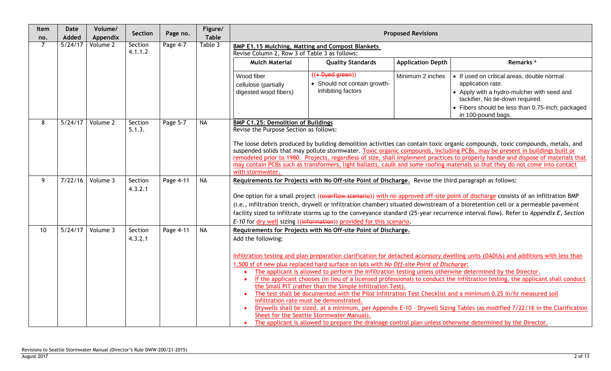| Item<br>no.    | <b>Date</b><br>Added | Volume/<br>Appendix | Section            | Page no.  | Figure/<br><b>Table</b> |                                                                                                                                                                                                                                                                                                                                                                                                                                                                                                                                                                                                                                                                                                                                                                                                                                                                                                                                                                                                                                                                                                                                                                 |                                                                                                       | <b>Proposed Revisions</b> |                                                                                                                                                                                                                                                                                                                                                                                                            |  |  |
|----------------|----------------------|---------------------|--------------------|-----------|-------------------------|-----------------------------------------------------------------------------------------------------------------------------------------------------------------------------------------------------------------------------------------------------------------------------------------------------------------------------------------------------------------------------------------------------------------------------------------------------------------------------------------------------------------------------------------------------------------------------------------------------------------------------------------------------------------------------------------------------------------------------------------------------------------------------------------------------------------------------------------------------------------------------------------------------------------------------------------------------------------------------------------------------------------------------------------------------------------------------------------------------------------------------------------------------------------|-------------------------------------------------------------------------------------------------------|---------------------------|------------------------------------------------------------------------------------------------------------------------------------------------------------------------------------------------------------------------------------------------------------------------------------------------------------------------------------------------------------------------------------------------------------|--|--|
| $\overline{7}$ | 5/24/17              | Volume 2            | Section            | Page 4-7  | Table 3                 | <b>BMP E1.15 Mulching, Matting and Compost Blankets</b>                                                                                                                                                                                                                                                                                                                                                                                                                                                                                                                                                                                                                                                                                                                                                                                                                                                                                                                                                                                                                                                                                                         |                                                                                                       |                           |                                                                                                                                                                                                                                                                                                                                                                                                            |  |  |
|                |                      |                     | 4.1.1.2            |           |                         | Revise Column 2, Row 3 of Table 3 as follows:                                                                                                                                                                                                                                                                                                                                                                                                                                                                                                                                                                                                                                                                                                                                                                                                                                                                                                                                                                                                                                                                                                                   |                                                                                                       |                           |                                                                                                                                                                                                                                                                                                                                                                                                            |  |  |
|                |                      |                     |                    |           |                         | <b>Mulch Material</b>                                                                                                                                                                                                                                                                                                                                                                                                                                                                                                                                                                                                                                                                                                                                                                                                                                                                                                                                                                                                                                                                                                                                           | <b>Quality Standards</b>                                                                              | <b>Application Depth</b>  | Remarks <sup>a</sup>                                                                                                                                                                                                                                                                                                                                                                                       |  |  |
|                |                      |                     |                    |           |                         | Wood fiber<br>cellulose (partially<br>digested wood fibers)                                                                                                                                                                                                                                                                                                                                                                                                                                                                                                                                                                                                                                                                                                                                                                                                                                                                                                                                                                                                                                                                                                     | $(( -$ Dyed green))<br>• Should not contain growth-<br>inhibiting factors                             | Minimum 2 inches          | • If used on critical areas, double normal<br>application rate.<br>• Apply with a hydro-mulcher with seed and<br>tackifier. No tie-down required.<br>• Fibers should be less than 0.75-inch; packaged<br>in 100-pound bags.                                                                                                                                                                                |  |  |
| $\overline{8}$ | 5/24/17              | Volume 2            | Section            | Page 5-7  | <b>NA</b>               | <b>BMP C1.25: Demolition of Buildings</b>                                                                                                                                                                                                                                                                                                                                                                                                                                                                                                                                                                                                                                                                                                                                                                                                                                                                                                                                                                                                                                                                                                                       |                                                                                                       |                           |                                                                                                                                                                                                                                                                                                                                                                                                            |  |  |
|                |                      |                     | 5.1.3.             |           |                         | Revise the Purpose Section as follows:<br>The loose debris produced by building demolition activities can contain toxic organic compounds, toxic compounds, metals, and<br>suspended solids that may pollute stormwater. Toxic organic compounds, including PCBs, may be present in buildings built or<br>remodeled prior to 1980. Projects, regardless of size, shall implement practices to properly handle and dispose of materials that<br>may contain PCBs such as transformers, light ballasts, caulk and some roofing materials so that they do not come into contact<br>with stormwater.                                                                                                                                                                                                                                                                                                                                                                                                                                                                                                                                                                |                                                                                                       |                           |                                                                                                                                                                                                                                                                                                                                                                                                            |  |  |
| 9              | 7/22/16              | Volume 3            | Section<br>4.3.2.1 | Page 4-11 | <b>NA</b>               |                                                                                                                                                                                                                                                                                                                                                                                                                                                                                                                                                                                                                                                                                                                                                                                                                                                                                                                                                                                                                                                                                                                                                                 | Requirements for Projects with No Off-site Point of Discharge. Revise the third paragraph as follows: |                           | One option for a small project ((overflow scenario)) with no approved off-site point of discharge consists of an infiltration BMP<br>(i.e., infiltration trench, drywell or infiltration chamber) situated downstream of a bioretention cell or a permeable pavement<br>facility sized to infiltrate storms up to the conveyance standard (25-year recurrence interval flow). Refer to Appendix E, Section |  |  |
| 10             | 5/24/17              | Volume 3            | Section<br>4.3.2.1 | Page 4-11 | <b>NA</b>               | E-10 for dry well sizing ((information)) provided for this scenario.<br>Requirements for Projects with No Off-site Point of Discharge.<br>Add the following:<br>Infiltration testing and plan preparation clarification for detached accessory dwelling units (DADUs) and additions with less than<br>1,500 sf of new plus replaced hard surface on lots with No Off-site Point of Discharge:<br>The applicant is allowed to perform the infiltration testing unless otherwise determined by the Director.<br>If the applicant chooses (in lieu of a licensed professional) to conduct the infiltration testing, the applicant shall conduct<br>the Small PIT (rather than the Simple Infiltration Test).<br>The test shall be documented with the Pilot Infiltration Test Checklist and a minimum 0.25 in/hr measured soil<br>infiltration rate must be demonstrated.<br>Drywells shall be sized, at a minimum, per Appendix E-10 - Drywell Sizing Tables (as modified 7/22/16 in the Clarification<br>Sheet for the Seattle Stormwater Manual).<br>The applicant is allowed to prepare the drainage control plan unless otherwise determined by the Director. |                                                                                                       |                           |                                                                                                                                                                                                                                                                                                                                                                                                            |  |  |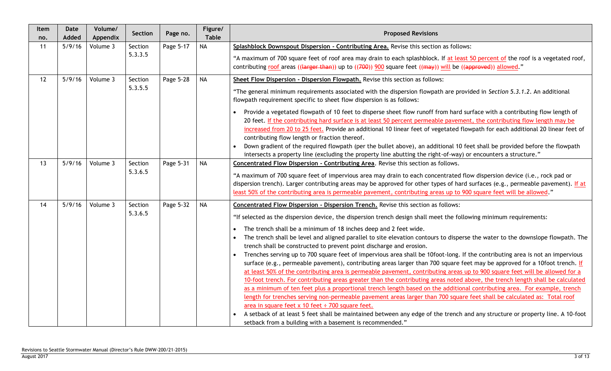| Item<br>no. | <b>Date</b><br>Added | Volume/<br>Appendix | Section            | Page no.  | Figure/<br><b>Table</b> | <b>Proposed Revisions</b>                                                                                                                                                                                                                                                                                                                                                                                                                                                                                                                                                                                                                                                                                                                                                                                                                                                                                                                                                                                                                                                                                                                                                                                                                                                                                                                                                          |
|-------------|----------------------|---------------------|--------------------|-----------|-------------------------|------------------------------------------------------------------------------------------------------------------------------------------------------------------------------------------------------------------------------------------------------------------------------------------------------------------------------------------------------------------------------------------------------------------------------------------------------------------------------------------------------------------------------------------------------------------------------------------------------------------------------------------------------------------------------------------------------------------------------------------------------------------------------------------------------------------------------------------------------------------------------------------------------------------------------------------------------------------------------------------------------------------------------------------------------------------------------------------------------------------------------------------------------------------------------------------------------------------------------------------------------------------------------------------------------------------------------------------------------------------------------------|
| 11          | 5/9/16               | Volume 3            | Section            | Page 5-17 | <b>NA</b>               | Splashblock Downspout Dispersion - Contributing Area. Revise this section as follows:                                                                                                                                                                                                                                                                                                                                                                                                                                                                                                                                                                                                                                                                                                                                                                                                                                                                                                                                                                                                                                                                                                                                                                                                                                                                                              |
|             |                      |                     | 5.3.3.5            |           |                         | "A maximum of 700 square feet of roof area may drain to each splashblock. If at least 50 percent of the roof is a vegetated roof,<br>contributing roof areas ((larger than)) up to ((700)) 900 square feet ((may)) will be ((approved)) allowed."                                                                                                                                                                                                                                                                                                                                                                                                                                                                                                                                                                                                                                                                                                                                                                                                                                                                                                                                                                                                                                                                                                                                  |
| 12          | 5/9/16               | Volume 3            | Section            | Page 5-28 | <b>NA</b>               | Sheet Flow Dispersion - Dispersion Flowpath. Revise this section as follows:                                                                                                                                                                                                                                                                                                                                                                                                                                                                                                                                                                                                                                                                                                                                                                                                                                                                                                                                                                                                                                                                                                                                                                                                                                                                                                       |
|             |                      |                     | 5.3.5.5            |           |                         | "The general minimum requirements associated with the dispersion flowpath are provided in Section 5.3.1.2. An additional<br>flowpath requirement specific to sheet flow dispersion is as follows:                                                                                                                                                                                                                                                                                                                                                                                                                                                                                                                                                                                                                                                                                                                                                                                                                                                                                                                                                                                                                                                                                                                                                                                  |
|             |                      |                     |                    |           |                         | Provide a vegetated flowpath of 10 feet to disperse sheet flow runoff from hard surface with a contributing flow length of<br>20 feet. If the contributing hard surface is at least 50 percent permeable pavement, the contributing flow length may be<br>increased from 20 to 25 feet. Provide an additional 10 linear feet of vegetated flowpath for each additional 20 linear feet of<br>contributing flow length or fraction thereof.<br>Down gradient of the required flowpath (per the bullet above), an additional 10 feet shall be provided before the flowpath<br>intersects a property line (excluding the property line abutting the right-of-way) or encounters a structure."                                                                                                                                                                                                                                                                                                                                                                                                                                                                                                                                                                                                                                                                                          |
| 13          | 5/9/16               | Volume 3            | Section<br>5.3.6.5 | Page 5-31 | <b>NA</b>               | Concentrated Flow Dispersion - Contributing Area. Revise this section as follows.<br>"A maximum of 700 square feet of impervious area may drain to each concentrated flow dispersion device (i.e., rock pad or<br>dispersion trench). Larger contributing areas may be approved for other types of hard surfaces (e.g., permeable pavement). If at<br>least 50% of the contributing area is permeable pavement, contributing areas up to 900 square feet will be allowed."                                                                                                                                                                                                                                                                                                                                                                                                                                                                                                                                                                                                                                                                                                                                                                                                                                                                                                         |
| 14          | 5/9/16               | Volume 3            | Section            | Page 5-32 | <b>NA</b>               | Concentrated Flow Dispersion - Dispersion Trench. Revise this section as follows:                                                                                                                                                                                                                                                                                                                                                                                                                                                                                                                                                                                                                                                                                                                                                                                                                                                                                                                                                                                                                                                                                                                                                                                                                                                                                                  |
|             |                      |                     | 5.3.6.5            |           |                         | "If selected as the dispersion device, the dispersion trench design shall meet the following minimum requirements:<br>The trench shall be a minimum of 18 inches deep and 2 feet wide.<br>The trench shall be level and aligned parallel to site elevation contours to disperse the water to the downslope flowpath. The<br>trench shall be constructed to prevent point discharge and erosion.<br>Trenches serving up to 700 square feet of impervious area shall be 10foot-long. If the contributing area is not an impervious<br>surface (e.g., permeable pavement), contributing areas larger than 700 square feet may be approved for a 10foot trench. If<br>at least 50% of the contributing area is permeable pavement, contributing areas up to 900 square feet will be allowed for a<br>10-foot trench. For contributing areas greater than the contributing areas noted above, the trench length shall be calculated<br>as a minimum of ten feet plus a proportional trench length based on the additional contributing area. For example, trench<br>length for trenches serving non-permeable pavement areas larger than 700 square feet shall be calculated as: Total roof<br>area in square feet $x$ 10 feet $\div$ 700 square feet.<br>A setback of at least 5 feet shall be maintained between any edge of the trench and any structure or property line. A 10-foot |
|             |                      |                     |                    |           |                         | setback from a building with a basement is recommended."                                                                                                                                                                                                                                                                                                                                                                                                                                                                                                                                                                                                                                                                                                                                                                                                                                                                                                                                                                                                                                                                                                                                                                                                                                                                                                                           |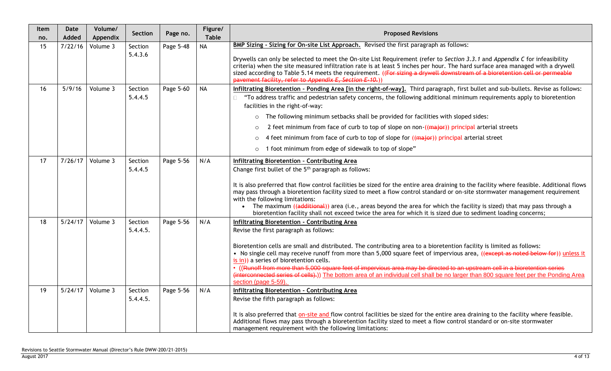| Item<br>no. | <b>Date</b><br>Added | Volume/<br>Appendix | Section            | Page no.  | Figure/<br><b>Table</b> | <b>Proposed Revisions</b>                                                                                                                                                                                                                                                                                                                                                                                                                                                                                                                                                                             |
|-------------|----------------------|---------------------|--------------------|-----------|-------------------------|-------------------------------------------------------------------------------------------------------------------------------------------------------------------------------------------------------------------------------------------------------------------------------------------------------------------------------------------------------------------------------------------------------------------------------------------------------------------------------------------------------------------------------------------------------------------------------------------------------|
| 15          | 7/22/16              | Volume 3            | Section            | Page 5-48 | <b>NA</b>               | BMP Sizing - Sizing for On-site List Approach. Revised the first paragraph as follows:                                                                                                                                                                                                                                                                                                                                                                                                                                                                                                                |
|             |                      |                     | 5.4.3.6            |           |                         | Drywells can only be selected to meet the On-site List Requirement (refer to Section 3.3.1 and Appendix C for infeasibility<br>criteria) when the site measured infiltration rate is at least 5 inches per hour. The hard surface area managed with a drywell<br>sized according to Table 5.14 meets the requirement. ((For sizing a drywell downstream of a bioretention cell or permeable<br>pavement facility, refer to Appendix E, Section E-10.)                                                                                                                                                 |
| 16          | 5/9/16               | Volume 3            | Section<br>5.4.4.5 | Page 5-60 | <b>NA</b>               | Infiltrating Bioretention - Ponding Area [in the right-of-way]. Third paragraph, first bullet and sub-bullets. Revise as follows:<br>"To address traffic and pedestrian safety concerns, the following additional minimum requirements apply to bioretention<br>facilities in the right-of-way:                                                                                                                                                                                                                                                                                                       |
|             |                      |                     |                    |           |                         | The following minimum setbacks shall be provided for facilities with sloped sides:<br>$\circ$                                                                                                                                                                                                                                                                                                                                                                                                                                                                                                         |
|             |                      |                     |                    |           |                         | 2 feet minimum from face of curb to top of slope on non-((major)) principal arterial streets<br>$\circ$                                                                                                                                                                                                                                                                                                                                                                                                                                                                                               |
|             |                      |                     |                    |           |                         | 4 feet minimum from face of curb to top of slope for ((major)) principal arterial street<br>$\circ$                                                                                                                                                                                                                                                                                                                                                                                                                                                                                                   |
|             |                      |                     |                    |           |                         | 1 foot minimum from edge of sidewalk to top of slope"<br>$\circ$                                                                                                                                                                                                                                                                                                                                                                                                                                                                                                                                      |
| 17          | 7/26/17              | Volume 3            | Section<br>5.4.4.5 | Page 5-56 | N/A                     | Infiltrating Bioretention - Contributing Area<br>Change first bullet of the 5 <sup>th</sup> paragraph as follows:                                                                                                                                                                                                                                                                                                                                                                                                                                                                                     |
|             |                      |                     |                    |           |                         | It is also preferred that flow control facilities be sized for the entire area draining to the facility where feasible. Additional flows<br>may pass through a bioretention facility sized to meet a flow control standard or on-site stormwater management requirement<br>with the following limitations:<br>The maximum ((additional)) area (i.e., areas beyond the area for which the facility is sized) that may pass through a<br>$\bullet$<br>bioretention facility shall not exceed twice the area for which it is sized due to sediment loading concerns;                                     |
| 18          | 5/24/17              | Volume 3            | Section            | Page 5-56 | N/A                     | <b>Infiltrating Bioretention - Contributing Area</b>                                                                                                                                                                                                                                                                                                                                                                                                                                                                                                                                                  |
|             |                      |                     | 5.4.4.5.           |           |                         | Revise the first paragraph as follows:                                                                                                                                                                                                                                                                                                                                                                                                                                                                                                                                                                |
|             |                      |                     |                    |           |                         | Bioretention cells are small and distributed. The contributing area to a bioretention facility is limited as follows:<br>• No single cell may receive runoff from more than 5,000 square feet of impervious area, ((except as noted below for)) unless it<br>is in)) a series of bioretention cells.<br>• ((Runoff from more than 5,000 square feet of impervious area may be directed to an upstream cell in a bioretention series<br>(interconnected series of cells).)) The bottom area of an individual cell shall be no larger than 800 square feet per the Ponding Area<br>section (page 5-59). |
| 19          | 5/24/17              | Volume 3            | Section            | Page 5-56 | N/A                     | Infiltrating Bioretention - Contributing Area                                                                                                                                                                                                                                                                                                                                                                                                                                                                                                                                                         |
|             |                      |                     | 5.4.4.5.           |           |                         | Revise the fifth paragraph as follows:<br>It is also preferred that on-site and flow control facilities be sized for the entire area draining to the facility where feasible.<br>Additional flows may pass through a bioretention facility sized to meet a flow control standard or on-site stormwater<br>management requirement with the following limitations:                                                                                                                                                                                                                                      |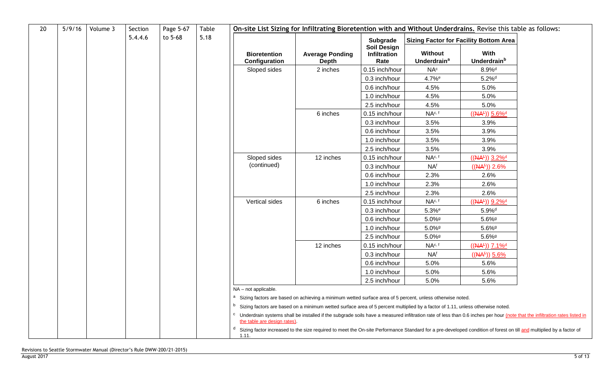| 20 | 5/9/16 | Volume 3 | Section | Page 5-67 | Table | On-site List Sizing for Infiltrating Bioretention with and Without Underdrains. Revise this table as follows: |                                                                                                                                                                                         |                                            |                                          |                                               |  |  |  |  |
|----|--------|----------|---------|-----------|-------|---------------------------------------------------------------------------------------------------------------|-----------------------------------------------------------------------------------------------------------------------------------------------------------------------------------------|--------------------------------------------|------------------------------------------|-----------------------------------------------|--|--|--|--|
|    |        |          | 5.4.4.6 | to 5-68   | 5.18  |                                                                                                               |                                                                                                                                                                                         | Subgrade                                   |                                          | <b>Sizing Factor for Facility Bottom Area</b> |  |  |  |  |
|    |        |          |         |           |       | <b>Bioretention</b><br>Configuration                                                                          | <b>Average Ponding</b><br><b>Depth</b>                                                                                                                                                  | <b>Soil Design</b><br>Infiltration<br>Rate | Without<br><b>Underdrain<sup>a</sup></b> | With<br>Underdrain <sup>b</sup>               |  |  |  |  |
|    |        |          |         |           |       | Sloped sides                                                                                                  | 2 inches                                                                                                                                                                                | 0.15 inch/hour                             | NA <sup>c</sup>                          | $8.9\%$ <sup>d</sup>                          |  |  |  |  |
|    |        |          |         |           |       |                                                                                                               |                                                                                                                                                                                         | 0.3 inch/hour                              | 4.7% <sup>e</sup>                        | $5.2\%$ <sup>d</sup>                          |  |  |  |  |
|    |        |          |         |           |       |                                                                                                               |                                                                                                                                                                                         | 0.6 inch/hour                              | 4.5%                                     | 5.0%                                          |  |  |  |  |
|    |        |          |         |           |       |                                                                                                               |                                                                                                                                                                                         | 1.0 inch/hour                              | 4.5%                                     | 5.0%                                          |  |  |  |  |
|    |        |          |         |           |       |                                                                                                               |                                                                                                                                                                                         | 2.5 inch/hour                              | 4.5%                                     | 5.0%                                          |  |  |  |  |
|    |        |          |         |           |       |                                                                                                               | 6 inches                                                                                                                                                                                | 0.15 inch/hour                             | NA <sup>c, f</sup>                       | $((AA^{\pm}))$ 5.6% <sup>d</sup>              |  |  |  |  |
|    |        |          |         |           |       |                                                                                                               |                                                                                                                                                                                         | 0.3 inch/hour                              | 3.5%                                     | 3.9%                                          |  |  |  |  |
|    |        |          |         |           |       |                                                                                                               |                                                                                                                                                                                         | 0.6 inch/hour                              | 3.5%                                     | 3.9%                                          |  |  |  |  |
|    |        |          |         |           |       |                                                                                                               |                                                                                                                                                                                         | 1.0 inch/hour                              | 3.5%                                     | 3.9%                                          |  |  |  |  |
|    |        |          |         |           |       |                                                                                                               |                                                                                                                                                                                         | 2.5 inch/hour                              | 3.5%                                     | 3.9%                                          |  |  |  |  |
|    |        |          |         |           |       | Sloped sides                                                                                                  | 12 inches                                                                                                                                                                               | 0.15 inch/hour                             | NA <sup>c, f</sup>                       | $((NA£))$ 3.2% <sup>d</sup>                   |  |  |  |  |
|    |        |          |         |           |       | (continued)                                                                                                   |                                                                                                                                                                                         | 0.3 inch/hour                              | NA <sup>f</sup>                          | $((AA^{\pm})$ ) 2.6%                          |  |  |  |  |
|    |        |          |         |           |       |                                                                                                               |                                                                                                                                                                                         | 0.6 inch/hour                              | 2.3%                                     | 2.6%                                          |  |  |  |  |
|    |        |          |         |           |       |                                                                                                               |                                                                                                                                                                                         | 1.0 inch/hour                              | 2.3%                                     | 2.6%                                          |  |  |  |  |
|    |        |          |         |           |       |                                                                                                               |                                                                                                                                                                                         | 2.5 inch/hour                              | 2.3%                                     | 2.6%                                          |  |  |  |  |
|    |        |          |         |           |       | Vertical sides                                                                                                | 6 inches                                                                                                                                                                                | 0.15 inch/hour                             | NA <sup>c, f</sup>                       | $((AA^{\pm}))$ 9.2% <sup>d</sup>              |  |  |  |  |
|    |        |          |         |           |       |                                                                                                               |                                                                                                                                                                                         | 0.3 inch/hour                              | $5.3%$ <sup>e</sup>                      | $5.9%$ <sup>d</sup>                           |  |  |  |  |
|    |        |          |         |           |       |                                                                                                               |                                                                                                                                                                                         | 0.6 inch/hour                              | $5.0\%$ <sup>g</sup>                     | $5.6\%$ <sup>g</sup>                          |  |  |  |  |
|    |        |          |         |           |       |                                                                                                               |                                                                                                                                                                                         | 1.0 inch/hour                              | $5.0\%$ <sup>g</sup>                     | $5.6\%$ <sup>g</sup>                          |  |  |  |  |
|    |        |          |         |           |       |                                                                                                               |                                                                                                                                                                                         | 2.5 inch/hour                              | $5.0\%$ <sup>g</sup>                     | $5.6\%$ <sup>g</sup>                          |  |  |  |  |
|    |        |          |         |           |       |                                                                                                               | 12 inches                                                                                                                                                                               | 0.15 inch/hour                             | NA <sup>c, f</sup>                       | $((AA^{\pm}))$ 7.1% <sup>d</sup>              |  |  |  |  |
|    |        |          |         |           |       |                                                                                                               |                                                                                                                                                                                         | 0.3 inch/hour                              | <b>NAf</b>                               | $((NA^{\pm}))$ 5.6%                           |  |  |  |  |
|    |        |          |         |           |       |                                                                                                               |                                                                                                                                                                                         | 0.6 inch/hour                              | 5.0%                                     | 5.6%                                          |  |  |  |  |
|    |        |          |         |           |       |                                                                                                               |                                                                                                                                                                                         | 1.0 inch/hour                              | 5.0%                                     | 5.6%                                          |  |  |  |  |
|    |        |          |         |           |       |                                                                                                               |                                                                                                                                                                                         | 2.5 inch/hour                              | 5.0%                                     | 5.6%                                          |  |  |  |  |
|    |        |          |         |           |       | NA - not applicable.                                                                                          |                                                                                                                                                                                         |                                            |                                          |                                               |  |  |  |  |
|    |        |          |         |           |       |                                                                                                               | <sup>a</sup> Sizing factors are based on achieving a minimum wetted surface area of 5 percent, unless otherwise noted.                                                                  |                                            |                                          |                                               |  |  |  |  |
|    |        |          |         |           |       |                                                                                                               | <sup>b</sup> Sizing factors are based on a minimum wetted surface area of 5 percent multiplied by a factor of 1.11, unless otherwise noted.                                             |                                            |                                          |                                               |  |  |  |  |
|    |        |          |         |           |       | the table are design rates).                                                                                  | <sup>c</sup> Underdrain systems shall be installed if the subgrade soils have a measured infiltration rate of less than 0.6 inches per hour (note that the infiltration rates listed in |                                            |                                          |                                               |  |  |  |  |
|    |        |          |         |           |       | 1.11.                                                                                                         | <sup>d</sup> Sizing factor increased to the size required to meet the On-site Performance Standard for a pre-developed condition of forest on till and multiplied by a factor of        |                                            |                                          |                                               |  |  |  |  |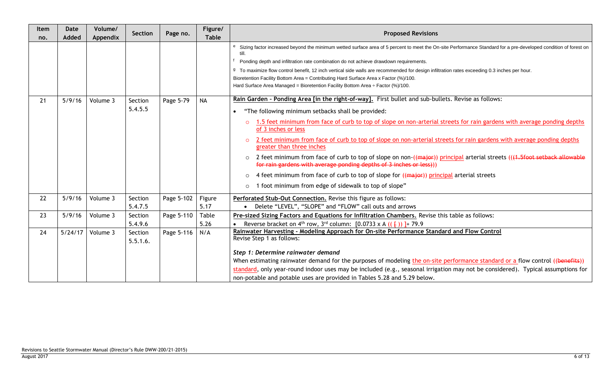| Item<br>no. | Date<br>Added | Volume/<br>Appendix | Section  | Page no.   | Figure/<br><b>Table</b> | <b>Proposed Revisions</b>                                                                                                                                                                                                                                         |
|-------------|---------------|---------------------|----------|------------|-------------------------|-------------------------------------------------------------------------------------------------------------------------------------------------------------------------------------------------------------------------------------------------------------------|
|             |               |                     |          |            |                         | Sizing factor increased beyond the minimum wetted surface area of 5 percent to meet the On-site Performance Standard for a pre-developed condition of forest on<br>till.<br>Ponding depth and infiltration rate combination do not achieve drawdown requirements. |
|             |               |                     |          |            |                         | <sup>9</sup> To maximize flow control benefit, 12 inch vertical side walls are recommended for design infiltration rates exceeding 0.3 inches per hour.                                                                                                           |
|             |               |                     |          |            |                         | Bioretention Facility Bottom Area = Contributing Hard Surface Area x Factor (%)/100.                                                                                                                                                                              |
|             |               |                     |          |            |                         | Hard Surface Area Managed = Bioretention Facility Bottom Area $\div$ Factor (%)/100.                                                                                                                                                                              |
| 21          | 5/9/16        | Volume 3            | Section  | Page 5-79  | <b>NA</b>               | Rain Garden - Ponding Area [in the right-of-way]. First bullet and sub-bullets. Revise as follows:                                                                                                                                                                |
|             |               |                     | 5.4.5.5  |            |                         | "The following minimum setbacks shall be provided:                                                                                                                                                                                                                |
|             |               |                     |          |            |                         | 1.5 feet minimum from face of curb to top of slope on non-arterial streets for rain gardens with average ponding depths<br>$\circ$<br>of 3 inches or less                                                                                                         |
|             |               |                     |          |            |                         | 2 feet minimum from face of curb to top of slope on non-arterial streets for rain gardens with average ponding depths<br>$\Omega$<br>greater than three inches                                                                                                    |
|             |               |                     |          |            |                         | 2 feet minimum from face of curb to top of slope on non-((major)) principal arterial streets ((+1.5foot setback allowable<br>$\circ$<br>for rain gardens with average ponding depths of 3 inches or less)))                                                       |
|             |               |                     |          |            |                         | 4 feet minimum from face of curb to top of slope for ((major)) principal arterial streets<br>$\circ$                                                                                                                                                              |
|             |               |                     |          |            |                         | 1 foot minimum from edge of sidewalk to top of slope"<br>$\circ$                                                                                                                                                                                                  |
| 22          | 5/9/16        | Volume 3            | Section  | Page 5-102 | Figure                  | Perforated Stub-Out Connection. Revise this figure as follows:                                                                                                                                                                                                    |
|             |               |                     | 5.4.7.5  |            | 5.17                    | Delete "LEVEL", "SLOPE" and "FLOW" call outs and arrows                                                                                                                                                                                                           |
| 23          | 5/9/16        | Volume 3            | Section  | Page 5-110 | Table                   | Pre-sized Sizing Factors and Equations for Infiltration Chambers. Revise this table as follows:                                                                                                                                                                   |
|             |               |                     | 5.4.9.6  |            | 5.26                    | Reverse bracket on 4 <sup>th</sup> row, 3 <sup>rd</sup> column: [0.0733 x A (( $\{$ )) ] + 79.9                                                                                                                                                                   |
| 24          | 5/24/17       | Volume 3            | Section  | Page 5-116 | N/A                     | Rainwater Harvesting - Modeling Approach for On-site Performance Standard and Flow Control<br>Revise Step 1 as follows:                                                                                                                                           |
|             |               |                     | 5.5.1.6. |            |                         |                                                                                                                                                                                                                                                                   |
|             |               |                     |          |            |                         | Step 1: Determine rainwater demand                                                                                                                                                                                                                                |
|             |               |                     |          |            |                         | When estimating rainwater demand for the purposes of modeling the on-site performance standard or a flow control ((benefits))                                                                                                                                     |
|             |               |                     |          |            |                         | standard, only year-round indoor uses may be included (e.g., seasonal irrigation may not be considered). Typical assumptions for                                                                                                                                  |
|             |               |                     |          |            |                         | non-potable and potable uses are provided in Tables 5.28 and 5.29 below.                                                                                                                                                                                          |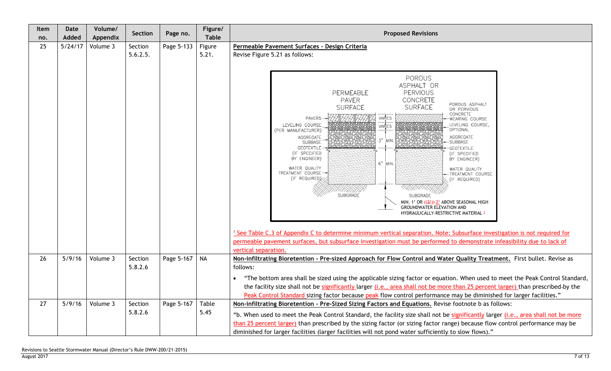| Item<br>no. | Date<br>Added | Volume/<br>Appendix | <b>Section</b>     | Page no.   | Figure/<br><b>Table</b> | <b>Proposed Revisions</b>                                                                                                                                                                                                                                                                                                                                                                                                                                                                                                                                                                                                                                                                                                                                                                                                                                                                                                                                                                                                           |  |  |  |  |
|-------------|---------------|---------------------|--------------------|------------|-------------------------|-------------------------------------------------------------------------------------------------------------------------------------------------------------------------------------------------------------------------------------------------------------------------------------------------------------------------------------------------------------------------------------------------------------------------------------------------------------------------------------------------------------------------------------------------------------------------------------------------------------------------------------------------------------------------------------------------------------------------------------------------------------------------------------------------------------------------------------------------------------------------------------------------------------------------------------------------------------------------------------------------------------------------------------|--|--|--|--|
| 25          | 5/24/17       | Volume 3            | Section            | Page 5-133 | Figure                  | Permeable Pavement Surfaces - Design Criteria                                                                                                                                                                                                                                                                                                                                                                                                                                                                                                                                                                                                                                                                                                                                                                                                                                                                                                                                                                                       |  |  |  |  |
|             |               |                     | 5.6.2.5.           |            | 5.21.                   | Revise Figure 5.21 as follows:                                                                                                                                                                                                                                                                                                                                                                                                                                                                                                                                                                                                                                                                                                                                                                                                                                                                                                                                                                                                      |  |  |  |  |
|             |               |                     |                    |            |                         |                                                                                                                                                                                                                                                                                                                                                                                                                                                                                                                                                                                                                                                                                                                                                                                                                                                                                                                                                                                                                                     |  |  |  |  |
|             |               |                     |                    |            |                         | POROUS<br>ASPHALT OR<br>PERVIOUS<br>PERMEABLE<br>CONCRETE<br><b>PAVER</b><br>POROUS ASPHALT<br><b>SURFACE</b><br><b>SURFACE</b><br>OR PERVIOUS<br>CONCRETE<br>VARIES<br><b>PAVERS</b><br>WEARING COURSE<br>LEVELING COURSE<br>LEVELING COURSE,<br>VARIES<br>OPTIONAL<br>(PER MANUFACTURER)<br>AGGREGATE<br>AGGREGATE<br>3"<br>MIN.<br><b>SUBBASE</b><br>-SUBBASE<br><b>GEOTEXTILE</b><br>GEOTEXTILE<br>(IF SPECIFIED<br>(IF SPECIFIED<br>BY ENGINEER)<br>BY ENGINEER)<br>6" MIN.<br>WATER QUALITY<br>WATER QUALITY<br>TREATMENT COURSE-<br>TREATMENT COURSE<br>(IF REQUIRED)<br>(IF REQUIRED)<br>XXXXXXX<br><b>SUBGRADE</b><br><b>SUBGRADE</b><br>MIN. 1' OR ((32)) 2' ABOVE SEASONAL HIGH<br>GROUNDWATER ELEVATION AND<br>HYDRAULICALLY-RESTRICTIVE MATERIAL 1<br><sup>1</sup> See Table C.3 of Appendix C to determine minimum vertical separation. Note: Subsurface investigation is not required for<br>permeable pavement surfaces, but subsurface investigation must be performed to demonstrate infeasibility due to lack of |  |  |  |  |
|             |               |                     |                    |            |                         | vertical separation.                                                                                                                                                                                                                                                                                                                                                                                                                                                                                                                                                                                                                                                                                                                                                                                                                                                                                                                                                                                                                |  |  |  |  |
| 26          | 5/9/16        | Volume 3            | Section<br>5.8.2.6 | Page 5-167 | <b>NA</b>               | Non-infiltrating Bioretention - Pre-sized Approach for Flow Control and Water Quality Treatment. First bullet. Revise as<br>follows:                                                                                                                                                                                                                                                                                                                                                                                                                                                                                                                                                                                                                                                                                                                                                                                                                                                                                                |  |  |  |  |
|             |               |                     |                    |            |                         | "The bottom area shall be sized using the applicable sizing factor or equation. When used to meet the Peak Control Standard,                                                                                                                                                                                                                                                                                                                                                                                                                                                                                                                                                                                                                                                                                                                                                                                                                                                                                                        |  |  |  |  |
|             |               |                     |                    |            |                         | the facility size shall not be significantly larger (i.e., area shall not be more than 25 percent larger) than prescribed-by the                                                                                                                                                                                                                                                                                                                                                                                                                                                                                                                                                                                                                                                                                                                                                                                                                                                                                                    |  |  |  |  |
| 27          | 5/9/16        | Volume 3            | Section            | Page 5-167 | Table                   | Peak Control Standard sizing factor because peak flow control performance may be diminished for larger facilities."<br>Non-infiltrating Bioretention - Pre-Sized Sizing Factors and Equations. Revise footnote b as follows:                                                                                                                                                                                                                                                                                                                                                                                                                                                                                                                                                                                                                                                                                                                                                                                                        |  |  |  |  |
|             |               |                     | 5.8.2.6            |            | 5.45                    |                                                                                                                                                                                                                                                                                                                                                                                                                                                                                                                                                                                                                                                                                                                                                                                                                                                                                                                                                                                                                                     |  |  |  |  |
|             |               |                     |                    |            |                         | "b. When used to meet the Peak Control Standard, the facility size shall not be significantly larger (i.e., area shall not be more<br>than 25 percent larger) than prescribed by the sizing factor (or sizing factor range) because flow control performance may be                                                                                                                                                                                                                                                                                                                                                                                                                                                                                                                                                                                                                                                                                                                                                                 |  |  |  |  |
|             |               |                     |                    |            |                         | diminished for larger facilities (larger facilities will not pond water sufficiently to slow flows)."                                                                                                                                                                                                                                                                                                                                                                                                                                                                                                                                                                                                                                                                                                                                                                                                                                                                                                                               |  |  |  |  |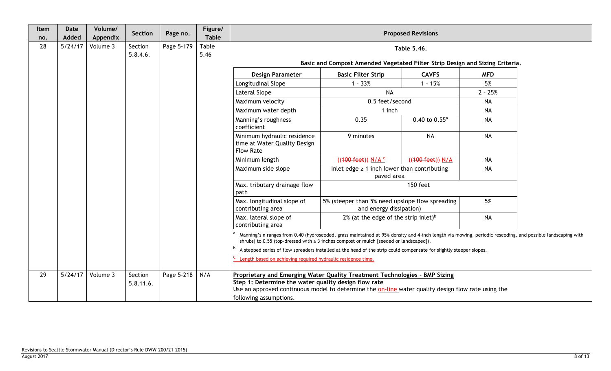| Item<br>no. | Date<br>Added | Volume/<br>Appendix | Section              | Page no.   | Figure/<br><b>Table</b> |                                                                                                                                                                                                                                                                    |                                                                            | <b>Proposed Revisions</b> |            |  |  |
|-------------|---------------|---------------------|----------------------|------------|-------------------------|--------------------------------------------------------------------------------------------------------------------------------------------------------------------------------------------------------------------------------------------------------------------|----------------------------------------------------------------------------|---------------------------|------------|--|--|
| 28          | 5/24/17       | Volume 3            | Section              | Page 5-179 | Table                   |                                                                                                                                                                                                                                                                    |                                                                            | Table 5.46.               |            |  |  |
|             |               |                     | 5.8.4.6.             |            | 5.46                    |                                                                                                                                                                                                                                                                    |                                                                            |                           |            |  |  |
|             |               |                     |                      |            |                         | Basic and Compost Amended Vegetated Filter Strip Design and Sizing Criteria.                                                                                                                                                                                       |                                                                            |                           |            |  |  |
|             |               |                     |                      |            |                         | <b>Design Parameter</b><br><b>Basic Filter Strip</b><br><b>CAVFS</b>                                                                                                                                                                                               |                                                                            |                           | <b>MFD</b> |  |  |
|             |               |                     |                      |            |                         | Longitudinal Slope                                                                                                                                                                                                                                                 | $1 - 33%$                                                                  | $1 - 15%$                 | 5%         |  |  |
|             |               |                     |                      |            |                         | Lateral Slope                                                                                                                                                                                                                                                      | <b>NA</b>                                                                  |                           | $2 - 25%$  |  |  |
|             |               |                     |                      |            |                         | Maximum velocity                                                                                                                                                                                                                                                   | 0.5 feet/second                                                            |                           | <b>NA</b>  |  |  |
|             |               |                     |                      |            |                         | Maximum water depth                                                                                                                                                                                                                                                | 1 inch                                                                     |                           | <b>NA</b>  |  |  |
|             |               |                     |                      |            |                         | Manning's roughness<br>coefficient                                                                                                                                                                                                                                 | 0.35                                                                       | $0.40$ to $0.55^a$        | <b>NA</b>  |  |  |
|             |               |                     |                      |            |                         | Minimum hydraulic residence<br>time at Water Quality Design<br><b>Flow Rate</b>                                                                                                                                                                                    | 9 minutes                                                                  | <b>NA</b>                 | <b>NA</b>  |  |  |
|             |               |                     |                      |            |                         | Minimum length                                                                                                                                                                                                                                                     | $((100 \text{ feet})) N/A$ <sup>c</sup>                                    | ((100 feet)) N/A          | <b>NA</b>  |  |  |
|             |               |                     |                      |            |                         | Maximum side slope                                                                                                                                                                                                                                                 | Inlet edge $\geq 1$ inch lower than contributing<br>paved area             |                           | <b>NA</b>  |  |  |
|             |               |                     |                      |            |                         | Max. tributary drainage flow<br>path                                                                                                                                                                                                                               |                                                                            | 150 feet                  |            |  |  |
|             |               |                     |                      |            |                         | Max. longitudinal slope of<br>contributing area                                                                                                                                                                                                                    | 5% (steeper than 5% need upslope flow spreading<br>and energy dissipation) |                           | 5%         |  |  |
|             |               |                     |                      |            |                         | Max. lateral slope of<br>contributing area                                                                                                                                                                                                                         | 2% (at the edge of the strip inlet) <sup>b</sup>                           |                           | <b>NA</b>  |  |  |
|             |               |                     |                      |            |                         | a Manning's n ranges from 0.40 (hydroseeded, grass maintained at 95% density and 4-inch length via mowing, periodic reseeding, and possible landscaping with<br>shrubs) to 0.55 (top-dressed with $\geq$ 3 inches compost or mulch [seeded or landscaped]).        |                                                                            |                           |            |  |  |
|             |               |                     |                      |            |                         | <sup>b</sup> A stepped series of flow spreaders installed at the head of the strip could compensate for slightly steeper slopes.                                                                                                                                   |                                                                            |                           |            |  |  |
|             |               |                     |                      |            |                         | C Length based on achieving required hydraulic residence time.                                                                                                                                                                                                     |                                                                            |                           |            |  |  |
| 29          | 5/24/17       | Volume 3            | Section<br>5.8.11.6. | Page 5-218 | N/A                     | Proprietary and Emerging Water Quality Treatment Technologies - BMP Sizing<br>Step 1: Determine the water quality design flow rate<br>Use an approved continuous model to determine the on-line water quality design flow rate using the<br>following assumptions. |                                                                            |                           |            |  |  |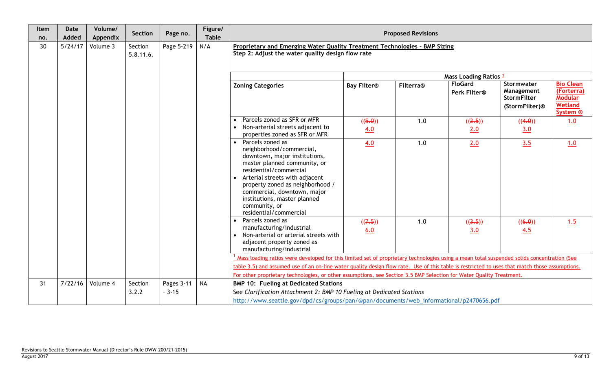| Item<br>no. | <b>Date</b><br>Added | Volume/<br>Appendix | Section   | Page no.   | Figure/<br><b>Table</b> | <b>Proposed Revisions</b>                                                                                                                                                                                                                                                                                                 |                    |           |                                |                                                                              |                                                                                    |
|-------------|----------------------|---------------------|-----------|------------|-------------------------|---------------------------------------------------------------------------------------------------------------------------------------------------------------------------------------------------------------------------------------------------------------------------------------------------------------------------|--------------------|-----------|--------------------------------|------------------------------------------------------------------------------|------------------------------------------------------------------------------------|
| 30          | 5/24/17              | Volume 3            | Section   | Page 5-219 | N/A                     | Proprietary and Emerging Water Quality Treatment Technologies - BMP Sizing                                                                                                                                                                                                                                                |                    |           |                                |                                                                              |                                                                                    |
|             |                      |                     | 5.8.11.6. |            |                         | Step 2: Adjust the water quality design flow rate                                                                                                                                                                                                                                                                         |                    |           |                                |                                                                              |                                                                                    |
|             |                      |                     |           |            |                         | Mass Loading Ratios 1                                                                                                                                                                                                                                                                                                     |                    |           |                                |                                                                              |                                                                                    |
|             |                      |                     |           |            |                         | <b>Zoning Categories</b>                                                                                                                                                                                                                                                                                                  | <b>Bay Filter®</b> | Filterra® | <b>FloGard</b><br>Perk Filter® | Stormwater<br>Management<br><b>StormFilter</b><br>(StormFilter) <sup>®</sup> | <b>Bio Clean</b><br>(Forterra)<br><b>Modular</b><br>Wetland<br>System <sup>®</sup> |
|             |                      |                     |           |            |                         | Parcels zoned as SFR or MFR<br>Non-arterial streets adjacent to<br>properties zoned as SFR or MFR                                                                                                                                                                                                                         | ((5.0))<br>4.0     | 1.0       | ((2.5))<br>2.0                 | ((4.0))<br>3.0                                                               | 1.0                                                                                |
|             |                      |                     |           |            |                         | • Parcels zoned as<br>neighborhood/commercial,<br>downtown, major institutions,<br>master planned community, or<br>residential/commercial<br>Arterial streets with adjacent<br>property zoned as neighborhood /<br>commercial, downtown, major<br>institutions, master planned<br>community, or<br>residential/commercial | 4.0                | 1.0       | 2.0                            | 3.5                                                                          | 1.0                                                                                |
|             |                      |                     |           |            |                         | Parcels zoned as<br>$\bullet$<br>manufacturing/industrial<br>Non-arterial or arterial streets with<br>adjacent property zoned as<br>manufacturing/industrial                                                                                                                                                              | ((7.5))<br>6.0     | 1.0       | ((3.5))<br>3.0                 | ((6.0))<br>4.5                                                               | 1.5                                                                                |
|             |                      |                     |           |            |                         | Mass loading ratios were developed for this limited set of proprietary technologies using a mean total suspended solids concentration (See<br>table 3.5) and assumed use of an on-line water quality design flow rate. Use of this table is restricted to uses that match those assumptions.                              |                    |           |                                |                                                                              |                                                                                    |
| 31          | 7/22/16              | Volume 4            | Section   | Pages 3-11 | <b>NA</b>               | For other proprietary technologies, or other assumptions, see Section 3.5 BMP Selection for Water Quality Treatment.<br><b>BMP 10: Fueling at Dedicated Stations</b>                                                                                                                                                      |                    |           |                                |                                                                              |                                                                                    |
|             |                      |                     | 3.2.2     | $-3-15$    |                         | See Clarification Attachment 2: BMP 10 Fueling at Dedicated Stations                                                                                                                                                                                                                                                      |                    |           |                                |                                                                              |                                                                                    |
|             |                      |                     |           |            |                         | http://www.seattle.gov/dpd/cs/groups/pan/@pan/documents/web_informational/p2470656.pdf                                                                                                                                                                                                                                    |                    |           |                                |                                                                              |                                                                                    |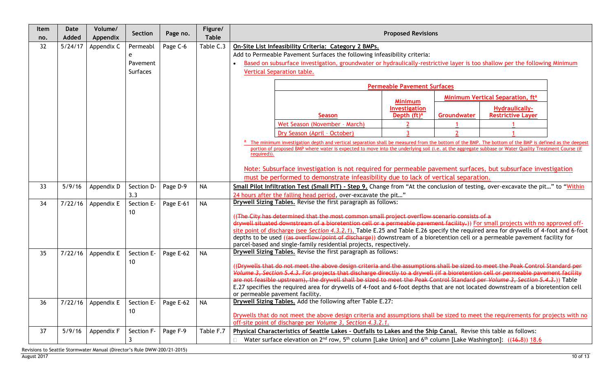| Item<br>no. | <b>Date</b><br>Added | Volume/<br>Appendix | Section    | Page no.  | Figure/<br><b>Table</b> | <b>Proposed Revisions</b>                                                                                                                             |  |  |  |  |  |  |
|-------------|----------------------|---------------------|------------|-----------|-------------------------|-------------------------------------------------------------------------------------------------------------------------------------------------------|--|--|--|--|--|--|
| 32          | 5/24/17              | Appendix C          | Permeabl   | Page C-6  | Table C.3               | On-Site List Infeasibility Criteria: Category 2 BMPs.                                                                                                 |  |  |  |  |  |  |
|             |                      |                     | e          |           |                         | Add to Permeable Pavement Surfaces the following infeasibility criteria:                                                                              |  |  |  |  |  |  |
|             |                      |                     | Pavement   |           |                         | Based on subsurface investigation, groundwater or hydraulically-restrictive layer is too shallow per the following Minimum                            |  |  |  |  |  |  |
|             |                      |                     | Surfaces   |           |                         | <b>Vertical Separation table.</b>                                                                                                                     |  |  |  |  |  |  |
|             |                      |                     |            |           |                         | <b>Permeable Pavement Surfaces</b>                                                                                                                    |  |  |  |  |  |  |
|             |                      |                     |            |           |                         | Minimum Vertical Separation, ft <sup>a</sup>                                                                                                          |  |  |  |  |  |  |
|             |                      |                     |            |           |                         | <b>Minimum</b><br>Investigation<br><b>Hydraulically-</b>                                                                                              |  |  |  |  |  |  |
|             |                      |                     |            |           |                         | <b>Restrictive Layer</b><br>Depth $(ft)^a$<br>Groundwater<br><b>Season</b>                                                                            |  |  |  |  |  |  |
|             |                      |                     |            |           |                         | Wet Season (November - March)                                                                                                                         |  |  |  |  |  |  |
|             |                      |                     |            |           |                         | Dry Season (April - October)                                                                                                                          |  |  |  |  |  |  |
|             |                      |                     |            |           |                         | The minimum investigation depth and vertical separation shall be measured from the bottom of the BMP. The bottom of the BMP is defined as the deepest |  |  |  |  |  |  |
|             |                      |                     |            |           |                         | portion of proposed BMP where water is expected to move into the underlying soil (i.e. at the aggregate subbase or Water Quality Treatment Course (if |  |  |  |  |  |  |
|             |                      |                     |            |           |                         | required)).                                                                                                                                           |  |  |  |  |  |  |
|             |                      |                     |            |           |                         | Note: Subsurface investigation is not required for permeable pavement surfaces, but subsurface investigation                                          |  |  |  |  |  |  |
|             |                      |                     |            |           |                         | must be performed to demonstrate infeasibility due to lack of vertical separation.                                                                    |  |  |  |  |  |  |
| 33          | 5/9/16               | Appendix D          | Section D- | Page D-9  | <b>NA</b>               | Small Pilot Infiltration Test (Small PIT) - Step 9. Change from "At the conclusion of testing, over-excavate the pit" to "Within                      |  |  |  |  |  |  |
|             |                      |                     | 3.3        |           |                         | 24 hours after the falling head period, over-excavate the pit"                                                                                        |  |  |  |  |  |  |
| 34          | 7/22/16              | Appendix E          | Section E- | Page E-61 | <b>NA</b>               | Drywell Sizing Tables. Revise the first paragraph as follows:                                                                                         |  |  |  |  |  |  |
|             |                      |                     | 10         |           |                         | ((The City has determined that the most common small project overflow scenario consists of a                                                          |  |  |  |  |  |  |
|             |                      |                     |            |           |                         | drywell situated downstream of a bioretention cell or a permeable pavement facility.)) For small projects with no approved off-                       |  |  |  |  |  |  |
|             |                      |                     |            |           |                         | site point of discharge (see Section 4.3.2.1), Table E.25 and Table E.26 specify the required area for drywells of 4-foot and 6-foot                  |  |  |  |  |  |  |
|             |                      |                     |            |           |                         | depths to be used ((as overflow/point of discharge)) downstream of a bioretention cell or a permeable pavement facility for                           |  |  |  |  |  |  |
|             |                      |                     |            |           |                         | parcel-based and single-family residential projects, respectively.                                                                                    |  |  |  |  |  |  |
| 35          | 7/22/16              | Appendix E          | Section E- | Page E-62 | <b>NA</b>               | Drywell Sizing Tables. Revise the first paragraph as follows:                                                                                         |  |  |  |  |  |  |
|             |                      |                     | 10         |           |                         | (Drywells that do not meet the above design criteria and the assumptions shall be sized to meet the Peak Control Standard per                         |  |  |  |  |  |  |
|             |                      |                     |            |           |                         | Volume 3, Section 5.4.3. For projects that discharge directly to a drywell (if a bioretention cell or permeable pavement facility                     |  |  |  |  |  |  |
|             |                      |                     |            |           |                         | are not feasible upstream), the drywell shall be sized to meet the Peak Control Standard per Volume 3, Section 5.4.3.)) Table                         |  |  |  |  |  |  |
|             |                      |                     |            |           |                         | E.27 specifies the required area for drywells of 4-foot and 6-foot depths that are not located downstream of a bioretention cell                      |  |  |  |  |  |  |
| 36          | 7/22/16              | Appendix E          | Section E- | Page E-62 | <b>NA</b>               | or permeable pavement facility.<br>Drywell Sizing Tables. Add the following after Table E.27:                                                         |  |  |  |  |  |  |
|             |                      |                     | 10         |           |                         |                                                                                                                                                       |  |  |  |  |  |  |
|             |                      |                     |            |           |                         | Drywells that do not meet the above design criteria and assumptions shall be sized to meet the requirements for projects with no                      |  |  |  |  |  |  |
|             |                      |                     |            |           |                         | off-site point of discharge per Volume 3, Section 4.3.2.1.                                                                                            |  |  |  |  |  |  |
| 37          | 5/9/16               | Appendix F          | Section F- | Page F-9  | Table F.7               | Physical Characteristics of Seattle Lakes - Outfalls to Lakes and the Ship Canal. Revise this table as follows:                                       |  |  |  |  |  |  |
|             |                      |                     | 3          |           |                         | Water surface elevation on $2^{nd}$ row, $5^{th}$ column [Lake Union] and 6 <sup>th</sup> column [Lake Washington]: ((46.8)) 18.6                     |  |  |  |  |  |  |

Revisions to Seattle Stormwater Manual (Director's Rule DWW-200/21-2015)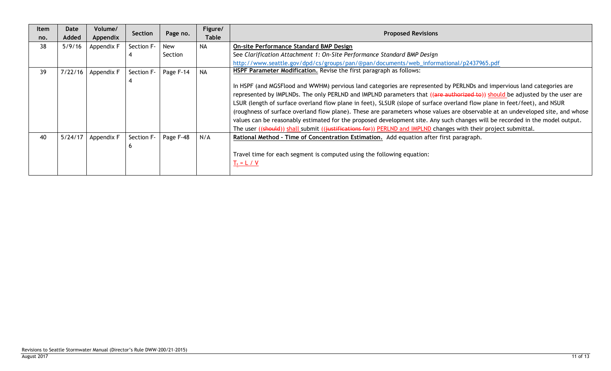| <b>Item</b><br>no. | Date<br>Added | Volume/<br>Appendix | Section    | Page no.  | Figure/<br><b>Table</b> | <b>Proposed Revisions</b>                                                                                                                                                                                                                                                                                                                                                                                                                                                                                                                                                                                                                                                                                                                                               |
|--------------------|---------------|---------------------|------------|-----------|-------------------------|-------------------------------------------------------------------------------------------------------------------------------------------------------------------------------------------------------------------------------------------------------------------------------------------------------------------------------------------------------------------------------------------------------------------------------------------------------------------------------------------------------------------------------------------------------------------------------------------------------------------------------------------------------------------------------------------------------------------------------------------------------------------------|
| 38                 | 5/9/16        | Appendix F          | Section F- | New       | NA                      | <b>On-site Performance Standard BMP Design</b>                                                                                                                                                                                                                                                                                                                                                                                                                                                                                                                                                                                                                                                                                                                          |
|                    |               |                     |            | Section   |                         | See Clarification Attachment 1: On-Site Performance Standard BMP Design                                                                                                                                                                                                                                                                                                                                                                                                                                                                                                                                                                                                                                                                                                 |
|                    |               |                     |            |           |                         | http://www.seattle.gov/dpd/cs/groups/pan/@pan/documents/web_informational/p2437965.pdf                                                                                                                                                                                                                                                                                                                                                                                                                                                                                                                                                                                                                                                                                  |
| 39                 | 7/22/16       | Appendix F          | Section F- | Page F-14 | <b>NA</b>               | HSPF Parameter Modification. Revise the first paragraph as follows:                                                                                                                                                                                                                                                                                                                                                                                                                                                                                                                                                                                                                                                                                                     |
|                    |               |                     |            |           |                         | In HSPF (and MGSFlood and WWHM) pervious land categories are represented by PERLNDs and impervious land categories are<br>represented by IMPLNDs. The only PERLND and IMPLND parameters that ((are authorized to)) should be adjusted by the user are<br>LSUR (length of surface overland flow plane in feet), SLSUR (slope of surface overland flow plane in feet/feet), and NSUR<br>(roughness of surface overland flow plane). These are parameters whose values are observable at an undeveloped site, and whose<br>values can be reasonably estimated for the proposed development site. Any such changes will be recorded in the model output.<br>The user ((should)) shall submit ((justifications for)) PERLND and IMPLND changes with their project submittal. |
| 40                 | 5/24/17       | Appendix F          | Section F- | Page F-48 | N/A                     | Rational Method - Time of Concentration Estimation. Add equation after first paragraph.<br>Travel time for each segment is computed using the following equation:<br>$T_t = L / V$                                                                                                                                                                                                                                                                                                                                                                                                                                                                                                                                                                                      |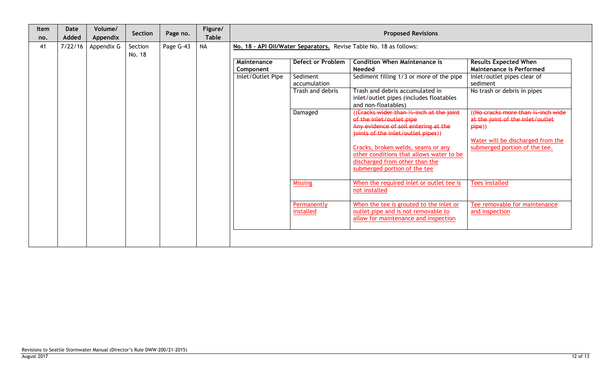| Item<br>no. | <b>Date</b><br>Added | Volume/<br>Appendix | Section           | Page no.  | Figure/<br><b>Table</b> |                                               | <b>Proposed Revisions</b>            |                                                                                                                                                     |                                                                                                |  |  |  |  |
|-------------|----------------------|---------------------|-------------------|-----------|-------------------------|-----------------------------------------------|--------------------------------------|-----------------------------------------------------------------------------------------------------------------------------------------------------|------------------------------------------------------------------------------------------------|--|--|--|--|
| 41          | 7/22/16              | Appendix G          | Section<br>No. 18 | Page G-43 | <b>NA</b>               |                                               |                                      | No. 18 - API Oil/Water Separators. Revise Table No. 18 as follows:                                                                                  |                                                                                                |  |  |  |  |
|             |                      |                     |                   |           |                         | Maintenance<br>Component<br>Inlet/Outlet Pipe | <b>Defect or Problem</b><br>Sediment | <b>Condition When Maintenance is</b><br><b>Needed</b><br>Sediment filling 1/3 or more of the pipe                                                   | <b>Results Expected When</b><br><b>Maintenance is Performed</b><br>Inlet/outlet pipes clear of |  |  |  |  |
|             |                      |                     |                   |           |                         |                                               | accumulation<br>Trash and debris     | Trash and debris accumulated in<br>inlet/outlet pipes (includes floatables<br>and non-floatables)                                                   | sediment<br>No trash or debris in pipes                                                        |  |  |  |  |
|             |                      |                     |                   |           |                         |                                               | Damaged                              | ((Cracks wider than 1/2-inch at the joint<br>of the inlet/outlet pipe<br>Any evidence of soil entering at the<br>joints of the inlet/outlet pipes)) | (No cracks more than 1/4-inch wide)<br>at the joint of the inlet/outlet<br>pipe)               |  |  |  |  |
|             |                      |                     |                   |           |                         |                                               |                                      | Cracks, broken welds, seams or any<br>other conditions that allows water to be<br>discharged from other than the<br>submerged portion of the tee    | Water will be discharged from the<br>submerged portion of the tee.                             |  |  |  |  |
|             |                      |                     |                   |           |                         |                                               | <b>Missing</b>                       | When the required inlet or outlet tee is<br>not installed                                                                                           | <b>Tees installed</b>                                                                          |  |  |  |  |
|             |                      |                     |                   |           |                         |                                               | Permanently<br>installed             | When the tee is grouted to the inlet or<br>outlet pipe and is not removable to<br>allow for maintenance and inspection                              | Tee removable for maintenance<br>and inspection                                                |  |  |  |  |
|             |                      |                     |                   |           |                         |                                               |                                      |                                                                                                                                                     |                                                                                                |  |  |  |  |